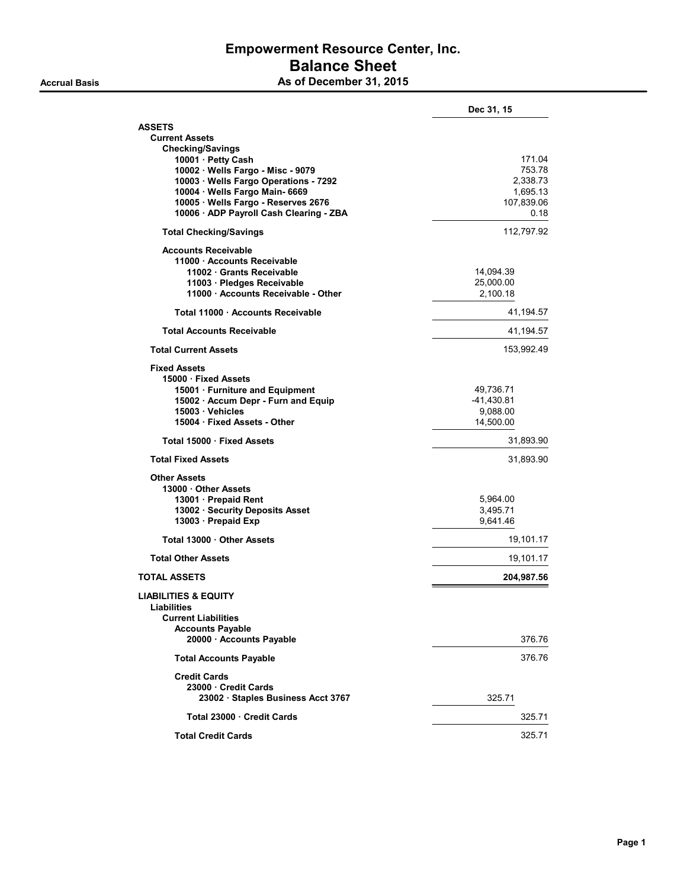# Empowerment Resource Center, Inc. Balance Sheet Accrual Basis **As of December 31, 2015**

|                                                        | Dec 31, 15             |
|--------------------------------------------------------|------------------------|
| <b>ASSETS</b>                                          |                        |
| <b>Current Assets</b>                                  |                        |
| <b>Checking/Savings</b><br>10001 · Petty Cash          | 171.04                 |
| 10002 · Wells Fargo - Misc - 9079                      | 753.78                 |
| 10003 · Wells Fargo Operations - 7292                  | 2,338.73               |
| 10004 · Wells Fargo Main- 6669                         | 1,695.13               |
| 10005 · Wells Fargo - Reserves 2676                    | 107,839.06             |
| 10006 · ADP Payroll Cash Clearing - ZBA                | 0.18                   |
| <b>Total Checking/Savings</b>                          | 112,797.92             |
| <b>Accounts Receivable</b>                             |                        |
| 11000 · Accounts Receivable                            |                        |
| 11002 Grants Receivable<br>11003 · Pledges Receivable  | 14,094.39<br>25,000.00 |
| 11000 · Accounts Receivable - Other                    | 2,100.18               |
| Total 11000 · Accounts Receivable                      | 41,194.57              |
| <b>Total Accounts Receivable</b>                       | 41,194.57              |
| <b>Total Current Assets</b>                            | 153,992.49             |
| <b>Fixed Assets</b>                                    |                        |
| 15000 · Fixed Assets                                   |                        |
| 15001 · Furniture and Equipment                        | 49,736.71              |
| 15002 · Accum Depr - Furn and Equip                    | $-41,430.81$           |
| 15003 Vehicles                                         | 9,088.00               |
| 15004 · Fixed Assets - Other                           | 14,500.00              |
| Total 15000 · Fixed Assets                             | 31,893.90              |
| <b>Total Fixed Assets</b>                              | 31,893.90              |
| <b>Other Assets</b>                                    |                        |
| 13000 · Other Assets                                   |                        |
| 13001 · Prepaid Rent                                   | 5,964.00               |
| 13002 · Security Deposits Asset<br>13003 · Prepaid Exp | 3,495.71<br>9,641.46   |
| Total 13000 Other Assets                               | 19,101.17              |
| <b>Total Other Assets</b>                              | 19,101.17              |
| <b>TOTAL ASSETS</b>                                    | 204,987.56             |
| <b>LIABILITIES &amp; EQUITY</b>                        |                        |
| Liabilities                                            |                        |
| <b>Current Liabilities</b>                             |                        |
| <b>Accounts Payable</b>                                |                        |
| 20000 · Accounts Payable                               | 376.76                 |
| <b>Total Accounts Payable</b>                          | 376.76                 |
| <b>Credit Cards</b>                                    |                        |
| 23000 Credit Cards                                     |                        |
| 23002 · Staples Business Acct 3767                     | 325.71                 |
| Total 23000 · Credit Cards                             | 325.71                 |
| <b>Total Credit Cards</b>                              | 325.71                 |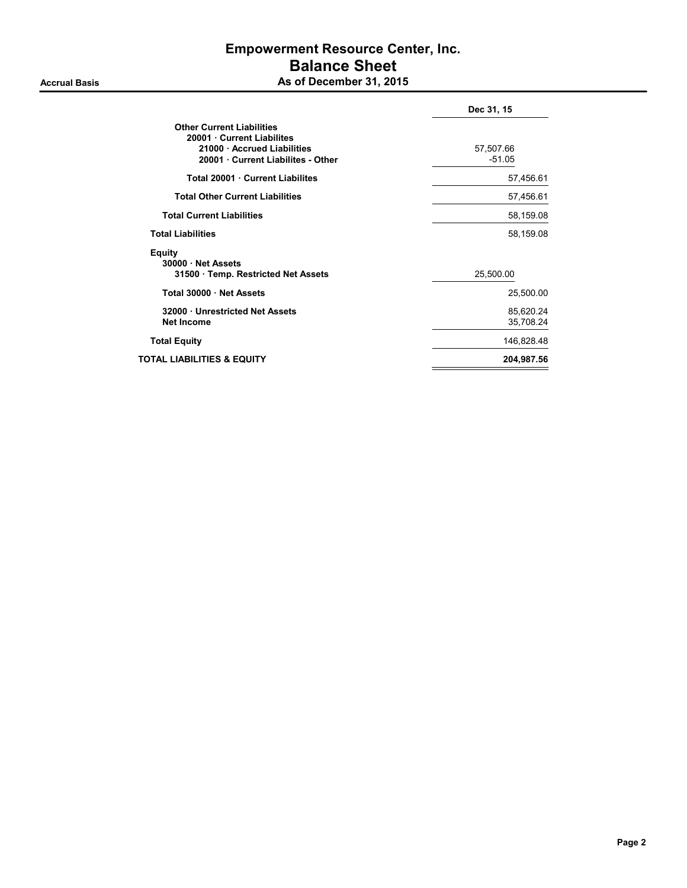#### Empowerment Resource Center, Inc. Balance Sheet Accrual Basis **Accrual Basis** As of December 31, 2015

|                                                                                                                               | Dec 31, 15             |
|-------------------------------------------------------------------------------------------------------------------------------|------------------------|
| <b>Other Current Liabilities</b><br>20001 Current Liabilites<br>21000 Accrued Liabilities<br>20001 Current Liabilites - Other | 57,507.66<br>$-51.05$  |
| Total 20001 Current Liabilites                                                                                                | 57,456.61              |
| <b>Total Other Current Liabilities</b>                                                                                        | 57,456.61              |
| <b>Total Current Liabilities</b>                                                                                              | 58,159.08              |
| <b>Total Liabilities</b>                                                                                                      | 58,159.08              |
| <b>Equity</b><br>30000 Net Assets<br>31500 · Temp. Restricted Net Assets                                                      | 25,500.00              |
| Total 30000 · Net Assets                                                                                                      | 25,500.00              |
| 32000 · Unrestricted Net Assets<br><b>Net Income</b>                                                                          | 85,620.24<br>35,708.24 |
| <b>Total Equity</b>                                                                                                           | 146,828.48             |
| TOTAL LIABILITIES & EQUITY                                                                                                    | 204,987.56             |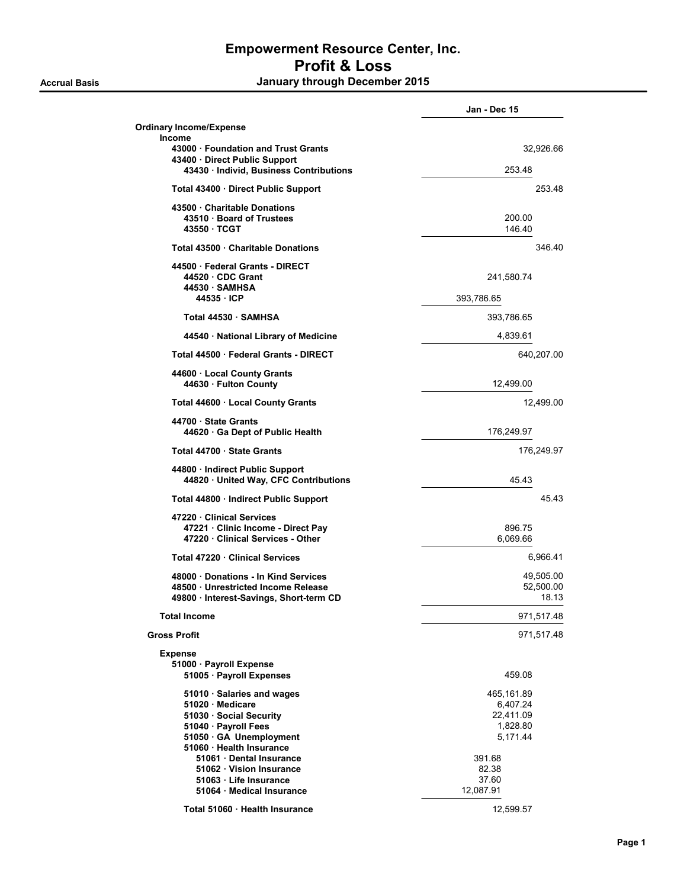|                                                                                                                                                                                                                                    | Jan - Dec 15                                                                            |
|------------------------------------------------------------------------------------------------------------------------------------------------------------------------------------------------------------------------------------|-----------------------------------------------------------------------------------------|
| Ordinary Income/Expense<br>Income                                                                                                                                                                                                  |                                                                                         |
| 43000 Foundation and Trust Grants<br>43400 · Direct Public Support                                                                                                                                                                 | 32,926.66                                                                               |
| 43430 · Individ, Business Contributions                                                                                                                                                                                            | 253.48                                                                                  |
| Total 43400 · Direct Public Support                                                                                                                                                                                                | 253.48                                                                                  |
| 43500 Charitable Donations<br>43510 · Board of Trustees<br>43550 TCGT                                                                                                                                                              | 200.00<br>146.40                                                                        |
| Total 43500 Charitable Donations                                                                                                                                                                                                   | 346 40                                                                                  |
| 44500 · Federal Grants - DIRECT<br>44520 CDC Grant<br>44530 · SAMHSA                                                                                                                                                               | 241,580.74                                                                              |
| 44535 ICP                                                                                                                                                                                                                          | 393,786.65                                                                              |
| Total 44530 · SAMHSA                                                                                                                                                                                                               | 393,786.65                                                                              |
| 44540 · National Library of Medicine                                                                                                                                                                                               | 4,839.61                                                                                |
| Total 44500 · Federal Grants - DIRECT                                                                                                                                                                                              | 640,207.00                                                                              |
| 44600 · Local County Grants<br>44630 · Fulton County                                                                                                                                                                               | 12,499.00                                                                               |
| Total 44600 · Local County Grants                                                                                                                                                                                                  | 12,499.00                                                                               |
| 44700 State Grants<br>44620 Ga Dept of Public Health                                                                                                                                                                               | 176,249.97                                                                              |
| Total 44700 State Grants                                                                                                                                                                                                           | 176,249.97                                                                              |
| 44800 · Indirect Public Support<br>44820 · United Way, CFC Contributions                                                                                                                                                           | 45.43                                                                                   |
| Total 44800 · Indirect Public Support                                                                                                                                                                                              | 45.43                                                                                   |
| 47220 Clinical Services<br>47221 · Clinic Income - Direct Pay<br>47220 · Clinical Services - Other                                                                                                                                 | 896.75<br>6.069.66                                                                      |
| Total 47220 Clinical Services                                                                                                                                                                                                      | 6,966.41                                                                                |
| 48000 Donations - In Kind Services<br>48500 · Unrestricted Income Release<br>49800 · Interest-Savings, Short-term CD                                                                                                               | 49,505.00<br>52,500.00<br>18.13                                                         |
| <b>Total Income</b>                                                                                                                                                                                                                | 971,517.48                                                                              |
| <b>Gross Profit</b>                                                                                                                                                                                                                | 971,517.48                                                                              |
| <b>Expense</b><br>51000 · Payroll Expense<br>51005 · Payroll Expenses                                                                                                                                                              | 459.08                                                                                  |
| 51010 · Salaries and wages<br>51020 Medicare<br>51030 · Social Security<br>51040 · Payroll Fees<br>51050 GA Unemployment<br>51060 · Health Insurance<br>51061 Dental Insurance<br>51062 · Vision Insurance<br>51063 Life Insurance | 465,161.89<br>6,407.24<br>22,411.09<br>1,828.80<br>5,171.44<br>391.68<br>82.38<br>37.60 |
| 51064 · Medical Insurance                                                                                                                                                                                                          | 12,087.91                                                                               |
| Total 51060 · Health Insurance                                                                                                                                                                                                     | 12,599.57                                                                               |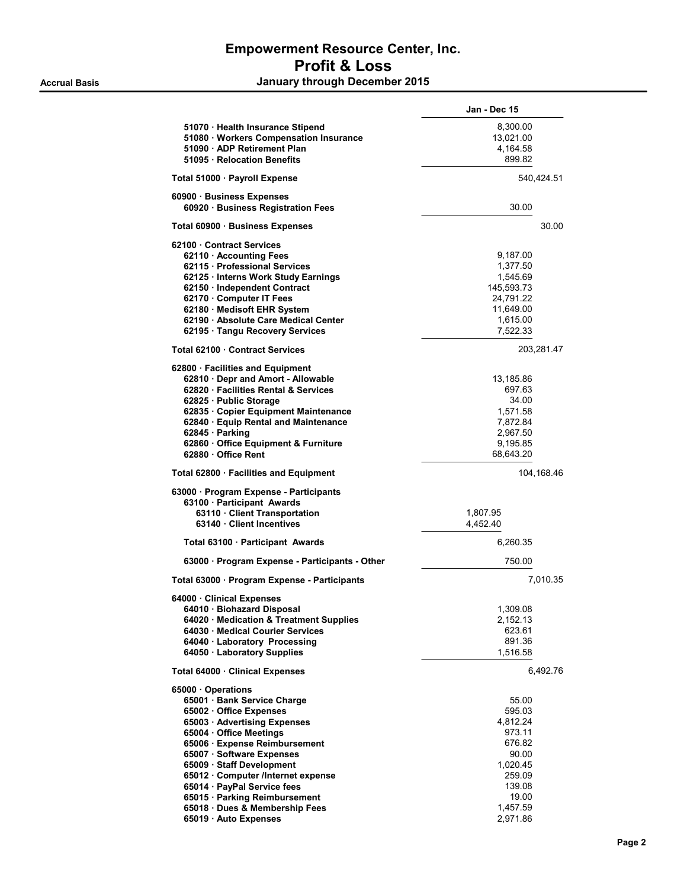| 51070 · Health Insurance Stipend<br>8,300.00<br>51080 · Workers Compensation Insurance<br>13,021.00<br>51090 · ADP Retirement Plan<br>4,164.58<br>51095 · Relocation Benefits<br>899.82<br>540,424.51<br>Total 51000 · Payroll Expense<br>60900 · Business Expenses<br>60920 · Business Registration Fees<br>30.00<br>30.00<br>Total 60900 Business Expenses<br>62100 Contract Services<br>9,187.00<br>62110 · Accounting Fees<br>62115 · Professional Services<br>1,377.50<br>62125 · Interns Work Study Earnings<br>1,545.69<br>62150 · Independent Contract<br>145,593.73<br>62170 · Computer IT Fees<br>24,791.22<br>62180 · Medisoft EHR System<br>11,649.00<br>62190 · Absolute Care Medical Center<br>1,615.00<br>7,522.33<br>62195 · Tangu Recovery Services<br>Total 62100 Contract Services<br>203,281.47<br>62800 · Facilities and Equipment<br>62810 · Depr and Amort - Allowable<br>13,185.86<br>62820 · Facilities Rental & Services<br>697.63<br>34.00<br>62825 Public Storage<br>62835 · Copier Equipment Maintenance<br>1,571.58<br>62840 Equip Rental and Maintenance<br>7,872.84<br>62845 · Parking<br>2,967.50<br>62860 · Office Equipment & Furniture<br>9,195.85<br>62880 Office Rent<br>68,643.20<br>104,168.46<br>Total 62800 · Facilities and Equipment<br>63000 · Program Expense - Participants<br>63100 · Participant Awards<br>63110 · Client Transportation<br>1,807.95<br>63140 · Client Incentives<br>4,452.40<br>Total 63100 · Participant Awards<br>6,260.35<br>63000 · Program Expense - Participants - Other<br>750.00<br>Total 63000 · Program Expense - Participants<br>7,010.35<br>64000 · Clinical Expenses<br>1,309.08<br>64010 · Biohazard Disposal<br>64020 · Medication & Treatment Supplies<br>2,152.13<br>64030 Medical Courier Services<br>623.61<br>891.36<br>64040 · Laboratory Processing<br>64050 · Laboratory Supplies<br>1,516.58<br>6,492.76<br>Total 64000 · Clinical Expenses<br>65000 · Operations<br>65001 · Bank Service Charge<br>55.00<br>65002 · Office Expenses<br>595.03<br>65003 · Advertising Expenses<br>4,812.24<br>65004 · Office Meetings<br>973.11<br>65006 · Expense Reimbursement<br>676.82<br>65007 · Software Expenses<br>90.00<br>65009 · Staff Development<br>1,020.45<br>65012 · Computer /Internet expense<br>259.09<br>65014 · PayPal Service fees<br>139.08<br>65015 · Parking Reimbursement<br>19.00<br>65018 · Dues & Membership Fees<br>1,457.59<br>65019 · Auto Expenses<br>2,971.86 | Jan - Dec 15 |
|---------------------------------------------------------------------------------------------------------------------------------------------------------------------------------------------------------------------------------------------------------------------------------------------------------------------------------------------------------------------------------------------------------------------------------------------------------------------------------------------------------------------------------------------------------------------------------------------------------------------------------------------------------------------------------------------------------------------------------------------------------------------------------------------------------------------------------------------------------------------------------------------------------------------------------------------------------------------------------------------------------------------------------------------------------------------------------------------------------------------------------------------------------------------------------------------------------------------------------------------------------------------------------------------------------------------------------------------------------------------------------------------------------------------------------------------------------------------------------------------------------------------------------------------------------------------------------------------------------------------------------------------------------------------------------------------------------------------------------------------------------------------------------------------------------------------------------------------------------------------------------------------------------------------------------------------------------------------------------------------------------------------------------------------------------------------------------------------------------------------------------------------------------------------------------------------------------------------------------------------------------------------------------------------------------------------------------------------------------------------------------------------------------------------------------------------------------------------------|--------------|
|                                                                                                                                                                                                                                                                                                                                                                                                                                                                                                                                                                                                                                                                                                                                                                                                                                                                                                                                                                                                                                                                                                                                                                                                                                                                                                                                                                                                                                                                                                                                                                                                                                                                                                                                                                                                                                                                                                                                                                                                                                                                                                                                                                                                                                                                                                                                                                                                                                                                           |              |
|                                                                                                                                                                                                                                                                                                                                                                                                                                                                                                                                                                                                                                                                                                                                                                                                                                                                                                                                                                                                                                                                                                                                                                                                                                                                                                                                                                                                                                                                                                                                                                                                                                                                                                                                                                                                                                                                                                                                                                                                                                                                                                                                                                                                                                                                                                                                                                                                                                                                           |              |
|                                                                                                                                                                                                                                                                                                                                                                                                                                                                                                                                                                                                                                                                                                                                                                                                                                                                                                                                                                                                                                                                                                                                                                                                                                                                                                                                                                                                                                                                                                                                                                                                                                                                                                                                                                                                                                                                                                                                                                                                                                                                                                                                                                                                                                                                                                                                                                                                                                                                           |              |
|                                                                                                                                                                                                                                                                                                                                                                                                                                                                                                                                                                                                                                                                                                                                                                                                                                                                                                                                                                                                                                                                                                                                                                                                                                                                                                                                                                                                                                                                                                                                                                                                                                                                                                                                                                                                                                                                                                                                                                                                                                                                                                                                                                                                                                                                                                                                                                                                                                                                           |              |
|                                                                                                                                                                                                                                                                                                                                                                                                                                                                                                                                                                                                                                                                                                                                                                                                                                                                                                                                                                                                                                                                                                                                                                                                                                                                                                                                                                                                                                                                                                                                                                                                                                                                                                                                                                                                                                                                                                                                                                                                                                                                                                                                                                                                                                                                                                                                                                                                                                                                           |              |
|                                                                                                                                                                                                                                                                                                                                                                                                                                                                                                                                                                                                                                                                                                                                                                                                                                                                                                                                                                                                                                                                                                                                                                                                                                                                                                                                                                                                                                                                                                                                                                                                                                                                                                                                                                                                                                                                                                                                                                                                                                                                                                                                                                                                                                                                                                                                                                                                                                                                           |              |
|                                                                                                                                                                                                                                                                                                                                                                                                                                                                                                                                                                                                                                                                                                                                                                                                                                                                                                                                                                                                                                                                                                                                                                                                                                                                                                                                                                                                                                                                                                                                                                                                                                                                                                                                                                                                                                                                                                                                                                                                                                                                                                                                                                                                                                                                                                                                                                                                                                                                           |              |
|                                                                                                                                                                                                                                                                                                                                                                                                                                                                                                                                                                                                                                                                                                                                                                                                                                                                                                                                                                                                                                                                                                                                                                                                                                                                                                                                                                                                                                                                                                                                                                                                                                                                                                                                                                                                                                                                                                                                                                                                                                                                                                                                                                                                                                                                                                                                                                                                                                                                           |              |
|                                                                                                                                                                                                                                                                                                                                                                                                                                                                                                                                                                                                                                                                                                                                                                                                                                                                                                                                                                                                                                                                                                                                                                                                                                                                                                                                                                                                                                                                                                                                                                                                                                                                                                                                                                                                                                                                                                                                                                                                                                                                                                                                                                                                                                                                                                                                                                                                                                                                           |              |
|                                                                                                                                                                                                                                                                                                                                                                                                                                                                                                                                                                                                                                                                                                                                                                                                                                                                                                                                                                                                                                                                                                                                                                                                                                                                                                                                                                                                                                                                                                                                                                                                                                                                                                                                                                                                                                                                                                                                                                                                                                                                                                                                                                                                                                                                                                                                                                                                                                                                           |              |
|                                                                                                                                                                                                                                                                                                                                                                                                                                                                                                                                                                                                                                                                                                                                                                                                                                                                                                                                                                                                                                                                                                                                                                                                                                                                                                                                                                                                                                                                                                                                                                                                                                                                                                                                                                                                                                                                                                                                                                                                                                                                                                                                                                                                                                                                                                                                                                                                                                                                           |              |
|                                                                                                                                                                                                                                                                                                                                                                                                                                                                                                                                                                                                                                                                                                                                                                                                                                                                                                                                                                                                                                                                                                                                                                                                                                                                                                                                                                                                                                                                                                                                                                                                                                                                                                                                                                                                                                                                                                                                                                                                                                                                                                                                                                                                                                                                                                                                                                                                                                                                           |              |
|                                                                                                                                                                                                                                                                                                                                                                                                                                                                                                                                                                                                                                                                                                                                                                                                                                                                                                                                                                                                                                                                                                                                                                                                                                                                                                                                                                                                                                                                                                                                                                                                                                                                                                                                                                                                                                                                                                                                                                                                                                                                                                                                                                                                                                                                                                                                                                                                                                                                           |              |
|                                                                                                                                                                                                                                                                                                                                                                                                                                                                                                                                                                                                                                                                                                                                                                                                                                                                                                                                                                                                                                                                                                                                                                                                                                                                                                                                                                                                                                                                                                                                                                                                                                                                                                                                                                                                                                                                                                                                                                                                                                                                                                                                                                                                                                                                                                                                                                                                                                                                           |              |
|                                                                                                                                                                                                                                                                                                                                                                                                                                                                                                                                                                                                                                                                                                                                                                                                                                                                                                                                                                                                                                                                                                                                                                                                                                                                                                                                                                                                                                                                                                                                                                                                                                                                                                                                                                                                                                                                                                                                                                                                                                                                                                                                                                                                                                                                                                                                                                                                                                                                           |              |
|                                                                                                                                                                                                                                                                                                                                                                                                                                                                                                                                                                                                                                                                                                                                                                                                                                                                                                                                                                                                                                                                                                                                                                                                                                                                                                                                                                                                                                                                                                                                                                                                                                                                                                                                                                                                                                                                                                                                                                                                                                                                                                                                                                                                                                                                                                                                                                                                                                                                           |              |
|                                                                                                                                                                                                                                                                                                                                                                                                                                                                                                                                                                                                                                                                                                                                                                                                                                                                                                                                                                                                                                                                                                                                                                                                                                                                                                                                                                                                                                                                                                                                                                                                                                                                                                                                                                                                                                                                                                                                                                                                                                                                                                                                                                                                                                                                                                                                                                                                                                                                           |              |
|                                                                                                                                                                                                                                                                                                                                                                                                                                                                                                                                                                                                                                                                                                                                                                                                                                                                                                                                                                                                                                                                                                                                                                                                                                                                                                                                                                                                                                                                                                                                                                                                                                                                                                                                                                                                                                                                                                                                                                                                                                                                                                                                                                                                                                                                                                                                                                                                                                                                           |              |
|                                                                                                                                                                                                                                                                                                                                                                                                                                                                                                                                                                                                                                                                                                                                                                                                                                                                                                                                                                                                                                                                                                                                                                                                                                                                                                                                                                                                                                                                                                                                                                                                                                                                                                                                                                                                                                                                                                                                                                                                                                                                                                                                                                                                                                                                                                                                                                                                                                                                           |              |
|                                                                                                                                                                                                                                                                                                                                                                                                                                                                                                                                                                                                                                                                                                                                                                                                                                                                                                                                                                                                                                                                                                                                                                                                                                                                                                                                                                                                                                                                                                                                                                                                                                                                                                                                                                                                                                                                                                                                                                                                                                                                                                                                                                                                                                                                                                                                                                                                                                                                           |              |
|                                                                                                                                                                                                                                                                                                                                                                                                                                                                                                                                                                                                                                                                                                                                                                                                                                                                                                                                                                                                                                                                                                                                                                                                                                                                                                                                                                                                                                                                                                                                                                                                                                                                                                                                                                                                                                                                                                                                                                                                                                                                                                                                                                                                                                                                                                                                                                                                                                                                           |              |
|                                                                                                                                                                                                                                                                                                                                                                                                                                                                                                                                                                                                                                                                                                                                                                                                                                                                                                                                                                                                                                                                                                                                                                                                                                                                                                                                                                                                                                                                                                                                                                                                                                                                                                                                                                                                                                                                                                                                                                                                                                                                                                                                                                                                                                                                                                                                                                                                                                                                           |              |
|                                                                                                                                                                                                                                                                                                                                                                                                                                                                                                                                                                                                                                                                                                                                                                                                                                                                                                                                                                                                                                                                                                                                                                                                                                                                                                                                                                                                                                                                                                                                                                                                                                                                                                                                                                                                                                                                                                                                                                                                                                                                                                                                                                                                                                                                                                                                                                                                                                                                           |              |
|                                                                                                                                                                                                                                                                                                                                                                                                                                                                                                                                                                                                                                                                                                                                                                                                                                                                                                                                                                                                                                                                                                                                                                                                                                                                                                                                                                                                                                                                                                                                                                                                                                                                                                                                                                                                                                                                                                                                                                                                                                                                                                                                                                                                                                                                                                                                                                                                                                                                           |              |
|                                                                                                                                                                                                                                                                                                                                                                                                                                                                                                                                                                                                                                                                                                                                                                                                                                                                                                                                                                                                                                                                                                                                                                                                                                                                                                                                                                                                                                                                                                                                                                                                                                                                                                                                                                                                                                                                                                                                                                                                                                                                                                                                                                                                                                                                                                                                                                                                                                                                           |              |
|                                                                                                                                                                                                                                                                                                                                                                                                                                                                                                                                                                                                                                                                                                                                                                                                                                                                                                                                                                                                                                                                                                                                                                                                                                                                                                                                                                                                                                                                                                                                                                                                                                                                                                                                                                                                                                                                                                                                                                                                                                                                                                                                                                                                                                                                                                                                                                                                                                                                           |              |
|                                                                                                                                                                                                                                                                                                                                                                                                                                                                                                                                                                                                                                                                                                                                                                                                                                                                                                                                                                                                                                                                                                                                                                                                                                                                                                                                                                                                                                                                                                                                                                                                                                                                                                                                                                                                                                                                                                                                                                                                                                                                                                                                                                                                                                                                                                                                                                                                                                                                           |              |
|                                                                                                                                                                                                                                                                                                                                                                                                                                                                                                                                                                                                                                                                                                                                                                                                                                                                                                                                                                                                                                                                                                                                                                                                                                                                                                                                                                                                                                                                                                                                                                                                                                                                                                                                                                                                                                                                                                                                                                                                                                                                                                                                                                                                                                                                                                                                                                                                                                                                           |              |
|                                                                                                                                                                                                                                                                                                                                                                                                                                                                                                                                                                                                                                                                                                                                                                                                                                                                                                                                                                                                                                                                                                                                                                                                                                                                                                                                                                                                                                                                                                                                                                                                                                                                                                                                                                                                                                                                                                                                                                                                                                                                                                                                                                                                                                                                                                                                                                                                                                                                           |              |
|                                                                                                                                                                                                                                                                                                                                                                                                                                                                                                                                                                                                                                                                                                                                                                                                                                                                                                                                                                                                                                                                                                                                                                                                                                                                                                                                                                                                                                                                                                                                                                                                                                                                                                                                                                                                                                                                                                                                                                                                                                                                                                                                                                                                                                                                                                                                                                                                                                                                           |              |
|                                                                                                                                                                                                                                                                                                                                                                                                                                                                                                                                                                                                                                                                                                                                                                                                                                                                                                                                                                                                                                                                                                                                                                                                                                                                                                                                                                                                                                                                                                                                                                                                                                                                                                                                                                                                                                                                                                                                                                                                                                                                                                                                                                                                                                                                                                                                                                                                                                                                           |              |
|                                                                                                                                                                                                                                                                                                                                                                                                                                                                                                                                                                                                                                                                                                                                                                                                                                                                                                                                                                                                                                                                                                                                                                                                                                                                                                                                                                                                                                                                                                                                                                                                                                                                                                                                                                                                                                                                                                                                                                                                                                                                                                                                                                                                                                                                                                                                                                                                                                                                           |              |
|                                                                                                                                                                                                                                                                                                                                                                                                                                                                                                                                                                                                                                                                                                                                                                                                                                                                                                                                                                                                                                                                                                                                                                                                                                                                                                                                                                                                                                                                                                                                                                                                                                                                                                                                                                                                                                                                                                                                                                                                                                                                                                                                                                                                                                                                                                                                                                                                                                                                           |              |
|                                                                                                                                                                                                                                                                                                                                                                                                                                                                                                                                                                                                                                                                                                                                                                                                                                                                                                                                                                                                                                                                                                                                                                                                                                                                                                                                                                                                                                                                                                                                                                                                                                                                                                                                                                                                                                                                                                                                                                                                                                                                                                                                                                                                                                                                                                                                                                                                                                                                           |              |
|                                                                                                                                                                                                                                                                                                                                                                                                                                                                                                                                                                                                                                                                                                                                                                                                                                                                                                                                                                                                                                                                                                                                                                                                                                                                                                                                                                                                                                                                                                                                                                                                                                                                                                                                                                                                                                                                                                                                                                                                                                                                                                                                                                                                                                                                                                                                                                                                                                                                           |              |
|                                                                                                                                                                                                                                                                                                                                                                                                                                                                                                                                                                                                                                                                                                                                                                                                                                                                                                                                                                                                                                                                                                                                                                                                                                                                                                                                                                                                                                                                                                                                                                                                                                                                                                                                                                                                                                                                                                                                                                                                                                                                                                                                                                                                                                                                                                                                                                                                                                                                           |              |
|                                                                                                                                                                                                                                                                                                                                                                                                                                                                                                                                                                                                                                                                                                                                                                                                                                                                                                                                                                                                                                                                                                                                                                                                                                                                                                                                                                                                                                                                                                                                                                                                                                                                                                                                                                                                                                                                                                                                                                                                                                                                                                                                                                                                                                                                                                                                                                                                                                                                           |              |
|                                                                                                                                                                                                                                                                                                                                                                                                                                                                                                                                                                                                                                                                                                                                                                                                                                                                                                                                                                                                                                                                                                                                                                                                                                                                                                                                                                                                                                                                                                                                                                                                                                                                                                                                                                                                                                                                                                                                                                                                                                                                                                                                                                                                                                                                                                                                                                                                                                                                           |              |
|                                                                                                                                                                                                                                                                                                                                                                                                                                                                                                                                                                                                                                                                                                                                                                                                                                                                                                                                                                                                                                                                                                                                                                                                                                                                                                                                                                                                                                                                                                                                                                                                                                                                                                                                                                                                                                                                                                                                                                                                                                                                                                                                                                                                                                                                                                                                                                                                                                                                           |              |
|                                                                                                                                                                                                                                                                                                                                                                                                                                                                                                                                                                                                                                                                                                                                                                                                                                                                                                                                                                                                                                                                                                                                                                                                                                                                                                                                                                                                                                                                                                                                                                                                                                                                                                                                                                                                                                                                                                                                                                                                                                                                                                                                                                                                                                                                                                                                                                                                                                                                           |              |
|                                                                                                                                                                                                                                                                                                                                                                                                                                                                                                                                                                                                                                                                                                                                                                                                                                                                                                                                                                                                                                                                                                                                                                                                                                                                                                                                                                                                                                                                                                                                                                                                                                                                                                                                                                                                                                                                                                                                                                                                                                                                                                                                                                                                                                                                                                                                                                                                                                                                           |              |
|                                                                                                                                                                                                                                                                                                                                                                                                                                                                                                                                                                                                                                                                                                                                                                                                                                                                                                                                                                                                                                                                                                                                                                                                                                                                                                                                                                                                                                                                                                                                                                                                                                                                                                                                                                                                                                                                                                                                                                                                                                                                                                                                                                                                                                                                                                                                                                                                                                                                           |              |
|                                                                                                                                                                                                                                                                                                                                                                                                                                                                                                                                                                                                                                                                                                                                                                                                                                                                                                                                                                                                                                                                                                                                                                                                                                                                                                                                                                                                                                                                                                                                                                                                                                                                                                                                                                                                                                                                                                                                                                                                                                                                                                                                                                                                                                                                                                                                                                                                                                                                           |              |
|                                                                                                                                                                                                                                                                                                                                                                                                                                                                                                                                                                                                                                                                                                                                                                                                                                                                                                                                                                                                                                                                                                                                                                                                                                                                                                                                                                                                                                                                                                                                                                                                                                                                                                                                                                                                                                                                                                                                                                                                                                                                                                                                                                                                                                                                                                                                                                                                                                                                           |              |
|                                                                                                                                                                                                                                                                                                                                                                                                                                                                                                                                                                                                                                                                                                                                                                                                                                                                                                                                                                                                                                                                                                                                                                                                                                                                                                                                                                                                                                                                                                                                                                                                                                                                                                                                                                                                                                                                                                                                                                                                                                                                                                                                                                                                                                                                                                                                                                                                                                                                           |              |
|                                                                                                                                                                                                                                                                                                                                                                                                                                                                                                                                                                                                                                                                                                                                                                                                                                                                                                                                                                                                                                                                                                                                                                                                                                                                                                                                                                                                                                                                                                                                                                                                                                                                                                                                                                                                                                                                                                                                                                                                                                                                                                                                                                                                                                                                                                                                                                                                                                                                           |              |
|                                                                                                                                                                                                                                                                                                                                                                                                                                                                                                                                                                                                                                                                                                                                                                                                                                                                                                                                                                                                                                                                                                                                                                                                                                                                                                                                                                                                                                                                                                                                                                                                                                                                                                                                                                                                                                                                                                                                                                                                                                                                                                                                                                                                                                                                                                                                                                                                                                                                           |              |
|                                                                                                                                                                                                                                                                                                                                                                                                                                                                                                                                                                                                                                                                                                                                                                                                                                                                                                                                                                                                                                                                                                                                                                                                                                                                                                                                                                                                                                                                                                                                                                                                                                                                                                                                                                                                                                                                                                                                                                                                                                                                                                                                                                                                                                                                                                                                                                                                                                                                           |              |
|                                                                                                                                                                                                                                                                                                                                                                                                                                                                                                                                                                                                                                                                                                                                                                                                                                                                                                                                                                                                                                                                                                                                                                                                                                                                                                                                                                                                                                                                                                                                                                                                                                                                                                                                                                                                                                                                                                                                                                                                                                                                                                                                                                                                                                                                                                                                                                                                                                                                           |              |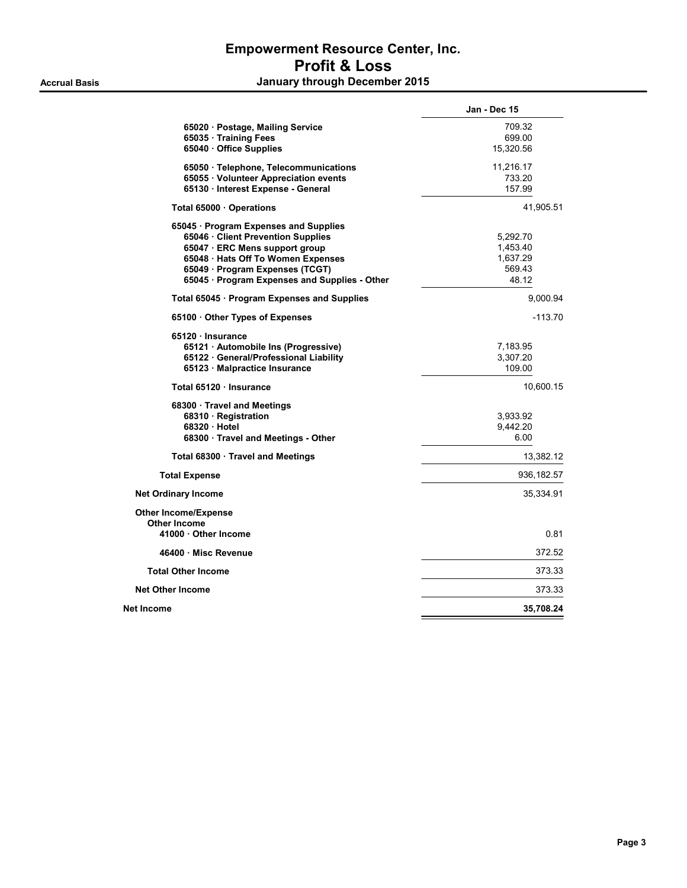|                                                    | Jan - Dec 15 |
|----------------------------------------------------|--------------|
| 65020 · Postage, Mailing Service                   | 709.32       |
| 65035 · Training Fees                              | 699.00       |
| 65040 Office Supplies                              | 15,320.56    |
| 65050 · Telephone, Telecommunications              | 11,216.17    |
| 65055 · Volunteer Appreciation events              | 733.20       |
| 65130 · Interest Expense - General                 | 157.99       |
| Total 65000 Operations                             | 41,905.51    |
| 65045 · Program Expenses and Supplies              |              |
| 65046 · Client Prevention Supplies                 | 5,292.70     |
| 65047 · ERC Mens support group                     | 1,453.40     |
| 65048 · Hats Off To Women Expenses                 | 1,637.29     |
| 65049 · Program Expenses (TCGT)                    | 569.43       |
| 65045 · Program Expenses and Supplies - Other      | 48.12        |
| Total 65045 · Program Expenses and Supplies        | 9,000.94     |
| 65100 Other Types of Expenses                      | $-113.70$    |
| 65120 · Insurance                                  |              |
| 65121 · Automobile Ins (Progressive)               | 7,183.95     |
| 65122 · General/Professional Liability             | 3,307.20     |
| 65123 · Malpractice Insurance                      | 109.00       |
| Total 65120 · Insurance                            | 10,600.15    |
| 68300 · Travel and Meetings                        |              |
| 68310 · Registration                               | 3,933.92     |
| 68320 Hotel                                        | 9,442.20     |
| 68300 · Travel and Meetings - Other                | 6.00         |
| Total 68300 Travel and Meetings                    | 13,382.12    |
| <b>Total Expense</b>                               | 936,182.57   |
| <b>Net Ordinary Income</b>                         | 35,334.91    |
| <b>Other Income/Expense</b><br><b>Other Income</b> |              |
| 41000 Other Income                                 | 0.81         |
| 46400 Misc Revenue                                 | 372.52       |
| <b>Total Other Income</b>                          | 373.33       |
| <b>Net Other Income</b>                            | 373.33       |
| Net Income                                         | 35,708.24    |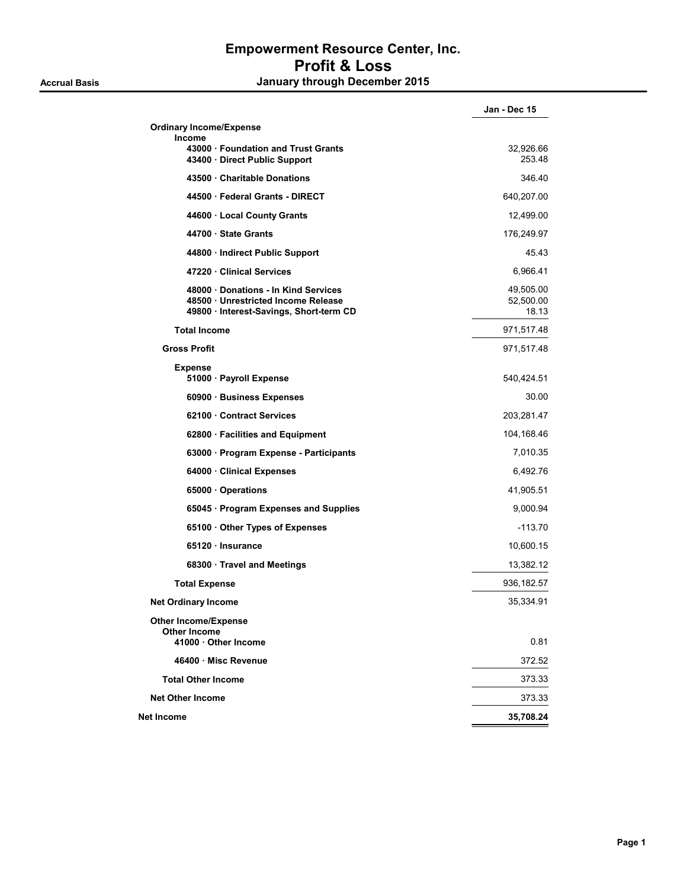|                                                                                                                      | Jan - Dec 15                    |
|----------------------------------------------------------------------------------------------------------------------|---------------------------------|
| <b>Ordinary Income/Expense</b>                                                                                       |                                 |
| <b>Income</b><br>43000 · Foundation and Trust Grants<br>43400 · Direct Public Support                                | 32,926.66<br>253.48             |
| 43500 Charitable Donations                                                                                           | 346.40                          |
| 44500 Federal Grants - DIRECT                                                                                        | 640,207.00                      |
| 44600 Local County Grants                                                                                            | 12,499.00                       |
| 44700 State Grants                                                                                                   | 176,249.97                      |
| 44800 · Indirect Public Support                                                                                      | 45.43                           |
| 47220 Clinical Services                                                                                              | 6,966.41                        |
| 48000 Donations - In Kind Services<br>48500 · Unrestricted Income Release<br>49800 · Interest-Savings, Short-term CD | 49,505.00<br>52,500.00<br>18.13 |
| <b>Total Income</b>                                                                                                  | 971,517.48                      |
| <b>Gross Profit</b>                                                                                                  | 971,517.48                      |
| <b>Expense</b><br>51000 · Payroll Expense                                                                            | 540,424.51                      |
| 60900 · Business Expenses                                                                                            | 30.00                           |
| 62100 Contract Services                                                                                              | 203,281.47                      |
| 62800 · Facilities and Equipment                                                                                     | 104,168.46                      |
| 63000 · Program Expense - Participants                                                                               | 7,010.35                        |
| 64000 Clinical Expenses                                                                                              | 6,492.76                        |
| 65000 Operations                                                                                                     | 41,905.51                       |
| 65045 · Program Expenses and Supplies                                                                                | 9,000.94                        |
| 65100 Other Types of Expenses                                                                                        | $-113.70$                       |
| 65120 Insurance                                                                                                      | 10,600.15                       |
| 68300 · Travel and Meetings                                                                                          | 13,382.12                       |
| <b>Total Expense</b>                                                                                                 | 936,182.57                      |
| <b>Net Ordinary Income</b>                                                                                           | 35,334.91                       |
| <b>Other Income/Expense</b><br><b>Other Income</b><br>41000 Other Income                                             | 0.81                            |
| 46400 Misc Revenue                                                                                                   | 372.52                          |
| <b>Total Other Income</b>                                                                                            | 373.33                          |
| <b>Net Other Income</b>                                                                                              | 373.33                          |
| Net Income                                                                                                           | 35,708.24                       |
|                                                                                                                      |                                 |